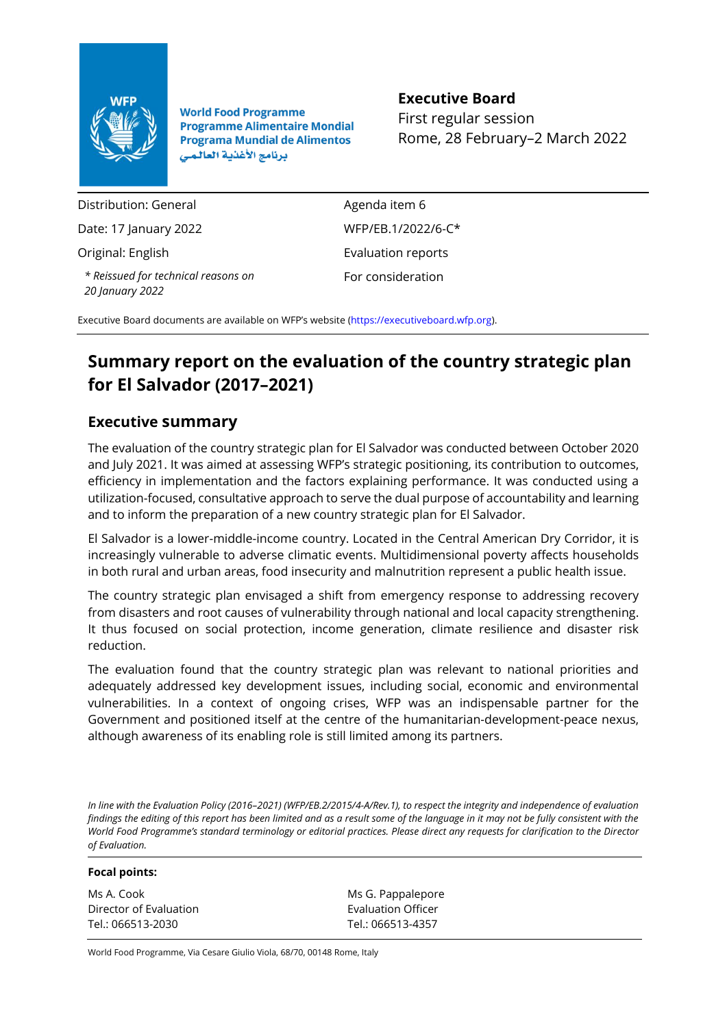

**World Food Programme Programme Alimentaire Mondial Programa Mundial de Alimentos** برنامج الأغذية العالمي

# **Executive Board**

First regular session Rome, 28 February–2 March 2022

Distribution: General Date: 17 January 2022 Original: English *\* Reissued for technical reasons on 20 January 2022*

Agenda item 6 WFP/EB.1/2022/6-C\* Evaluation reports For consideration

Executive Board documents are available on WFP's website [\(https://executiveboard.wfp.org\)](https://executiveboard.wfp.org/).

# **Summary report on the evaluation of the country strategic plan for El Salvador (2017–2021)**

# **Executive summary**

The evaluation of the country strategic plan for El Salvador was conducted between October 2020 and July 2021. It was aimed at assessing WFP's strategic positioning, its contribution to outcomes, efficiency in implementation and the factors explaining performance. It was conducted using a utilization-focused, consultative approach to serve the dual purpose of accountability and learning and to inform the preparation of a new country strategic plan for El Salvador.

El Salvador is a lower-middle-income country. Located in the Central American Dry Corridor, it is increasingly vulnerable to adverse climatic events. Multidimensional poverty affects households in both rural and urban areas, food insecurity and malnutrition represent a public health issue.

The country strategic plan envisaged a shift from emergency response to addressing recovery from disasters and root causes of vulnerability through national and local capacity strengthening. It thus focused on social protection, income generation, climate resilience and disaster risk reduction.

The evaluation found that the country strategic plan was relevant to national priorities and adequately addressed key development issues, including social, economic and environmental vulnerabilities. In a context of ongoing crises, WFP was an indispensable partner for the Government and positioned itself at the centre of the humanitarian-development-peace nexus, although awareness of its enabling role is still limited among its partners.

*In line with the Evaluation Policy (2016–2021) (WFP/EB.2/2015/4-A/Rev.1), to respect the integrity and independence of evaluation findings the editing of this report has been limited and as a result some of the language in it may not be fully consistent with the World Food Programme's standard terminology or editorial practices. Please direct any requests for clarification to the Director of Evaluation.*

#### **Focal points:**

Ms A. Cook Director of Evaluation Tel.: 066513-2030

Ms G. Pappalepore Evaluation Officer Tel.: 066513-4357

World Food Programme, Via Cesare Giulio Viola, 68/70, 00148 Rome, Italy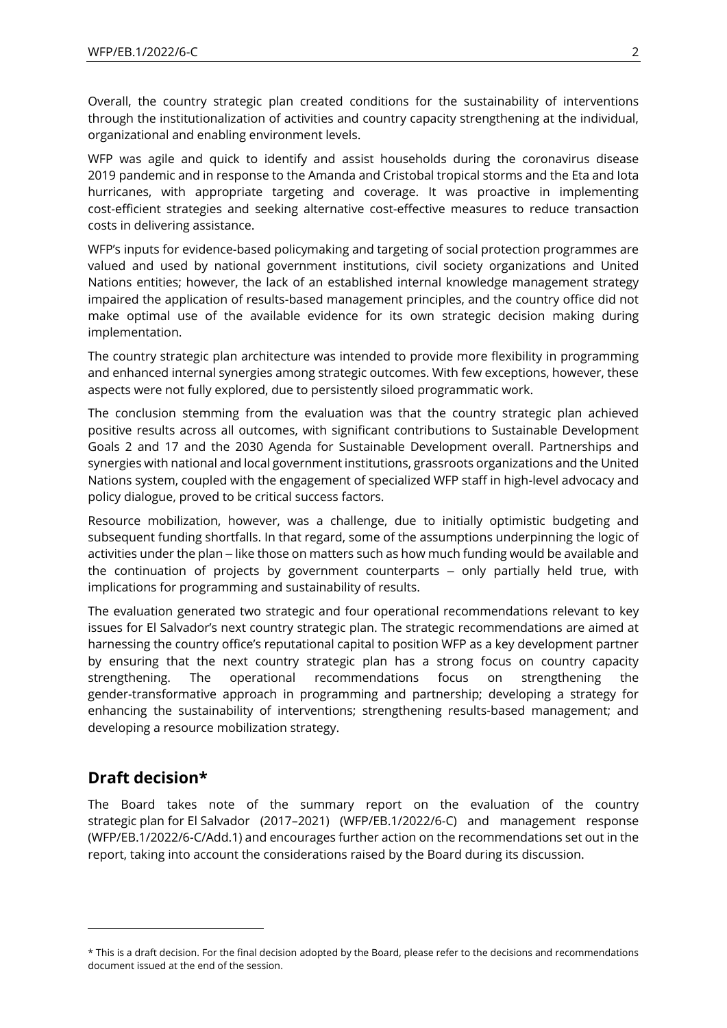Overall, the country strategic plan created conditions for the sustainability of interventions through the institutionalization of activities and country capacity strengthening at the individual, organizational and enabling environment levels.

WFP was agile and quick to identify and assist households during the coronavirus disease 2019 pandemic and in response to the Amanda and Cristobal tropical storms and the Eta and Iota hurricanes, with appropriate targeting and coverage. It was proactive in implementing cost-efficient strategies and seeking alternative cost-effective measures to reduce transaction costs in delivering assistance.

WFP's inputs for evidence-based policymaking and targeting of social protection programmes are valued and used by national government institutions, civil society organizations and United Nations entities; however, the lack of an established internal knowledge management strategy impaired the application of results-based management principles, and the country office did not make optimal use of the available evidence for its own strategic decision making during implementation.

The country strategic plan architecture was intended to provide more flexibility in programming and enhanced internal synergies among strategic outcomes. With few exceptions, however, these aspects were not fully explored, due to persistently siloed programmatic work.

The conclusion stemming from the evaluation was that the country strategic plan achieved positive results across all outcomes, with significant contributions to Sustainable Development Goals 2 and 17 and the 2030 Agenda for Sustainable Development overall. Partnerships and synergies with national and local government institutions, grassroots organizations and the United Nations system, coupled with the engagement of specialized WFP staff in high-level advocacy and policy dialogue, proved to be critical success factors.

Resource mobilization, however, was a challenge, due to initially optimistic budgeting and subsequent funding shortfalls. In that regard, some of the assumptions underpinning the logic of activities under the plan – like those on matters such as how much funding would be available and the continuation of projects by government counterparts  $-$  only partially held true, with implications for programming and sustainability of results.

The evaluation generated two strategic and four operational recommendations relevant to key issues for El Salvador's next country strategic plan. The strategic recommendations are aimed at harnessing the country office's reputational capital to position WFP as a key development partner by ensuring that the next country strategic plan has a strong focus on country capacity strengthening. The operational recommendations focus on strengthening the gender-transformative approach in programming and partnership; developing a strategy for enhancing the sustainability of interventions; strengthening results-based management; and developing a resource mobilization strategy.

# **Draft decision\***

The Board takes note of the summary report on the evaluation of the country strategic plan for El Salvador (2017–2021) (WFP/EB.1/2022/6-C) and management response (WFP/EB.1/2022/6-C/Add.1) and encourages further action on the recommendations set out in the report, taking into account the considerations raised by the Board during its discussion.

<sup>\*</sup> This is a draft decision. For the final decision adopted by the Board, please refer to the decisions and recommendations document issued at the end of the session.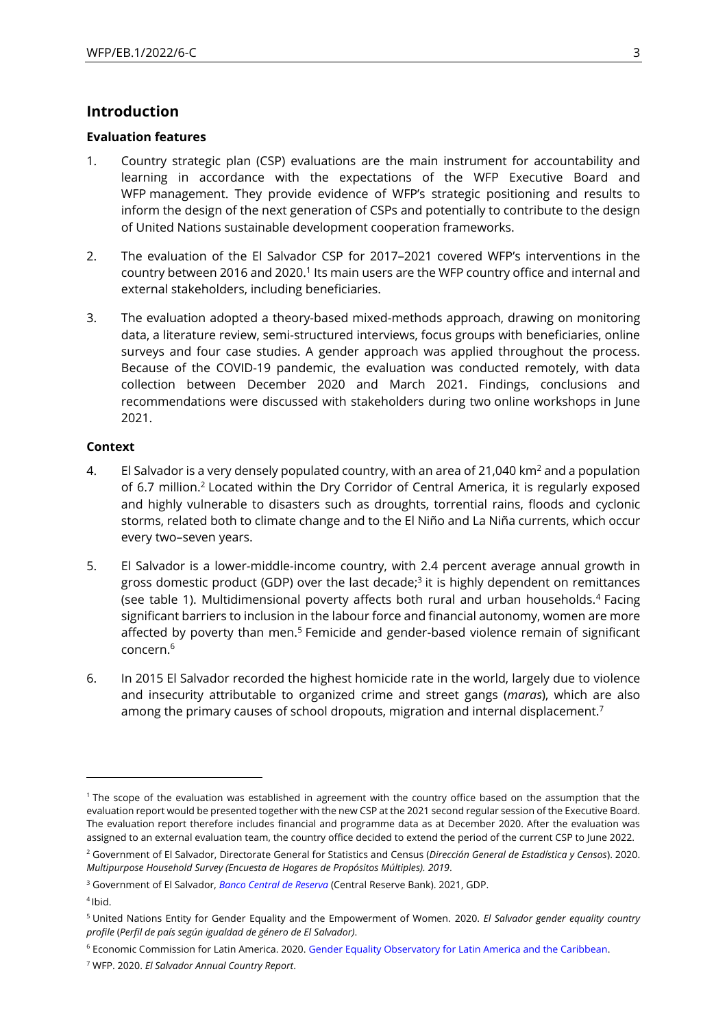# **Introduction**

#### **Evaluation features**

- 1. Country strategic plan (CSP) evaluations are the main instrument for accountability and learning in accordance with the expectations of the WFP Executive Board and WFP management. They provide evidence of WFP's strategic positioning and results to inform the design of the next generation of CSPs and potentially to contribute to the design of United Nations sustainable development cooperation frameworks.
- 2. The evaluation of the El Salvador CSP for 2017–2021 covered WFP's interventions in the country between 2016 and 2020.<sup>1</sup> Its main users are the WFP country office and internal and external stakeholders, including beneficiaries.
- 3. The evaluation adopted a theory-based mixed-methods approach, drawing on monitoring data, a literature review, semi-structured interviews, focus groups with beneficiaries, online surveys and four case studies. A gender approach was applied throughout the process. Because of the COVID-19 pandemic, the evaluation was conducted remotely, with data collection between December 2020 and March 2021. Findings, conclusions and recommendations were discussed with stakeholders during two online workshops in June 2021.

#### **Context**

- 4. El Salvador is a very densely populated country, with an area of 21,040 km<sup>2</sup> and a population of 6.7 million.<sup>2</sup> Located within the Dry Corridor of Central America, it is regularly exposed and highly vulnerable to disasters such as droughts, torrential rains, floods and cyclonic storms, related both to climate change and to the El Niño and La Niña currents, which occur every two–seven years.
- 5. El Salvador is a lower-middle-income country, with 2.4 percent average annual growth in gross domestic product (GDP) over the last decade; 3 it is highly dependent on remittances (see table 1). Multidimensional poverty affects both rural and urban households.<sup>4</sup> Facing significant barriers to inclusion in the labour force and financial autonomy, women are more affected by poverty than men.<sup>5</sup> Femicide and gender-based violence remain of significant concern.<sup>6</sup>
- 6. In 2015 El Salvador recorded the highest homicide rate in the world, largely due to violence and insecurity attributable to organized crime and street gangs (*maras*), which are also among the primary causes of school dropouts, migration and internal displacement.<sup>7</sup>

<sup>&</sup>lt;sup>1</sup> The scope of the evaluation was established in agreement with the country office based on the assumption that the evaluation report would be presented together with the new CSP at the 2021 second regular session of the Executive Board. The evaluation report therefore includes financial and programme data as at December 2020. After the evaluation was assigned to an external evaluation team, the country office decided to extend the period of the current CSP to June 2022.

<sup>2</sup> Government of El Salvador, Directorate General for Statistics and Census (*Dirección General de Estadística y Censos*). 2020. *Multipurpose Household Survey (Encuesta de Hogares de Propósitos Múltiples). 2019*.

<sup>3</sup> Government of El Salvador, *[Banco Central de Reserva](https://www.bcr.gob.sv/bcrsite/?cat=1000&lang=es#ancla1047)* (Central Reserve Bank). 2021, GDP.

<sup>4</sup> Ibid.

<sup>5</sup> United Nations Entity for Gender Equality and the Empowerment of Women. 2020. *El Salvador gender equality country profile* (*Perfil de país según igualdad de género de El Salvador)*.

<sup>6</sup> Economic Commission for Latin America. 2020. [Gender Equality Observatory for Latin America and the Caribbean.](https://oig.cepal.org/en)

<sup>7</sup> WFP. 2020. *El Salvador Annual Country Report*.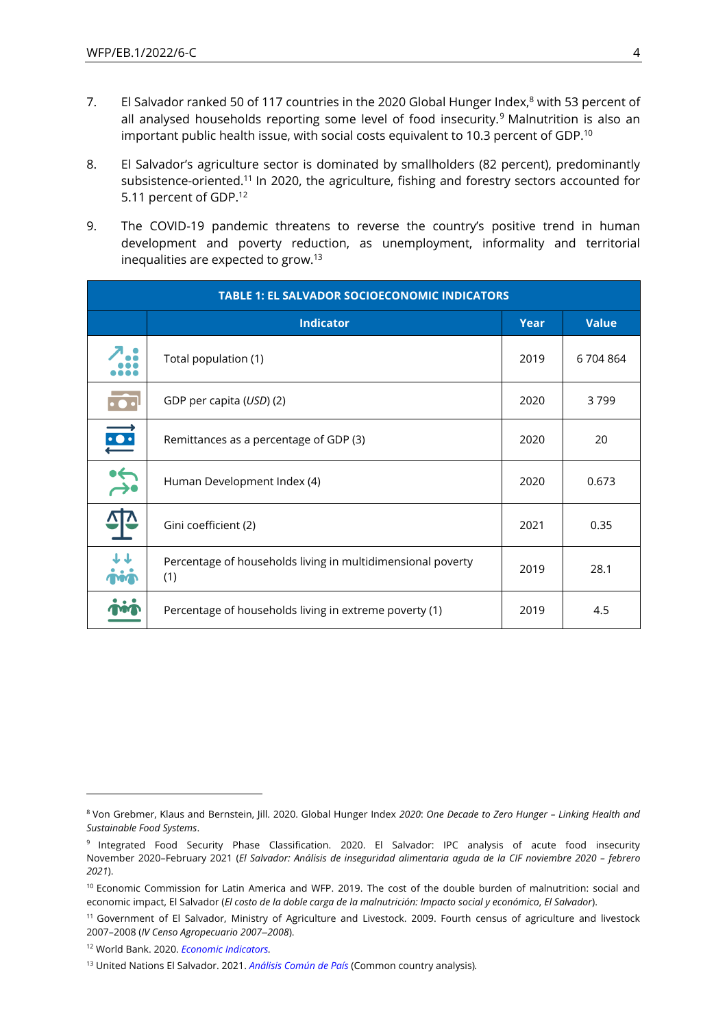- 7. El Salvador ranked 50 of 117 countries in the 2020 Global Hunger Index,<sup>8</sup> with 53 percent of all analysed households reporting some level of food insecurity.<sup>9</sup> Malnutrition is also an important public health issue, with social costs equivalent to 10.3 percent of GDP.<sup>10</sup>
- 8. El Salvador's agriculture sector is dominated by smallholders (82 percent), predominantly subsistence-oriented.<sup>11</sup> In 2020, the agriculture, fishing and forestry sectors accounted for 5.11 percent of GDP.<sup>12</sup>
- 9. The COVID-19 pandemic threatens to reverse the country's positive trend in human development and poverty reduction, as unemployment, informality and territorial inequalities are expected to grow.<sup>13</sup>

|                  | <b>TABLE 1: EL SALVADOR SOCIOECONOMIC INDICATORS</b>               |             |              |  |  |
|------------------|--------------------------------------------------------------------|-------------|--------------|--|--|
|                  | <b>Indicator</b>                                                   | <b>Year</b> | <b>Value</b> |  |  |
|                  | Total population (1)                                               | 2019        | 6704864      |  |  |
|                  | GDP per capita (USD) (2)                                           | 2020        | 3799         |  |  |
| <u>io:</u>       | Remittances as a percentage of GDP (3)                             | 2020        | 20           |  |  |
| $\sum_{i=1}^{n}$ | Human Development Index (4)                                        | 2020        | 0.673        |  |  |
|                  | Gini coefficient (2)                                               | 2021        | 0.35         |  |  |
|                  | Percentage of households living in multidimensional poverty<br>(1) | 2019        | 28.1         |  |  |
|                  | Percentage of households living in extreme poverty (1)             | 2019        | 4.5          |  |  |

<sup>8</sup> Von Grebmer, Klaus and Bernstein, Jill. 2020. Global Hunger Index *2020*: *One Decade to Zero Hunger – Linking Health and Sustainable Food Systems*.

<sup>&</sup>lt;sup>9</sup> Integrated Food Security Phase Classification. 2020. El Salvador: IPC analysis of acute food insecurity November 2020–February 2021 (*El Salvador: Análisis de inseguridad alimentaria aguda de la CIF noviembre 2020 – febrero 2021*).

<sup>&</sup>lt;sup>10</sup> Economic Commission for Latin America and WFP. 2019. The cost of the double burden of malnutrition: social and economic impact, El Salvador (*El costo de la doble carga de la malnutrición: Impacto social y económico*, *El Salvador*).

<sup>11</sup> Government of El Salvador, Ministry of Agriculture and Livestock. 2009. Fourth census of agriculture and livestock 2007–2008 (*IV Censo Agropecuario 2007‒2008*).

<sup>12</sup> World Bank. 2020. *[Economic Indicators.](https://data.worldbank.org/indicator/NV.AGR.TOTL.ZS?locations=SV)*

<sup>13</sup> United Nations El Salvador. 2021. *Análisis [Común de País](https://elsalvador.un.org/es/135650-analisis-comun-de-pais-2021-cca-2021)* (Common country analysis)*.*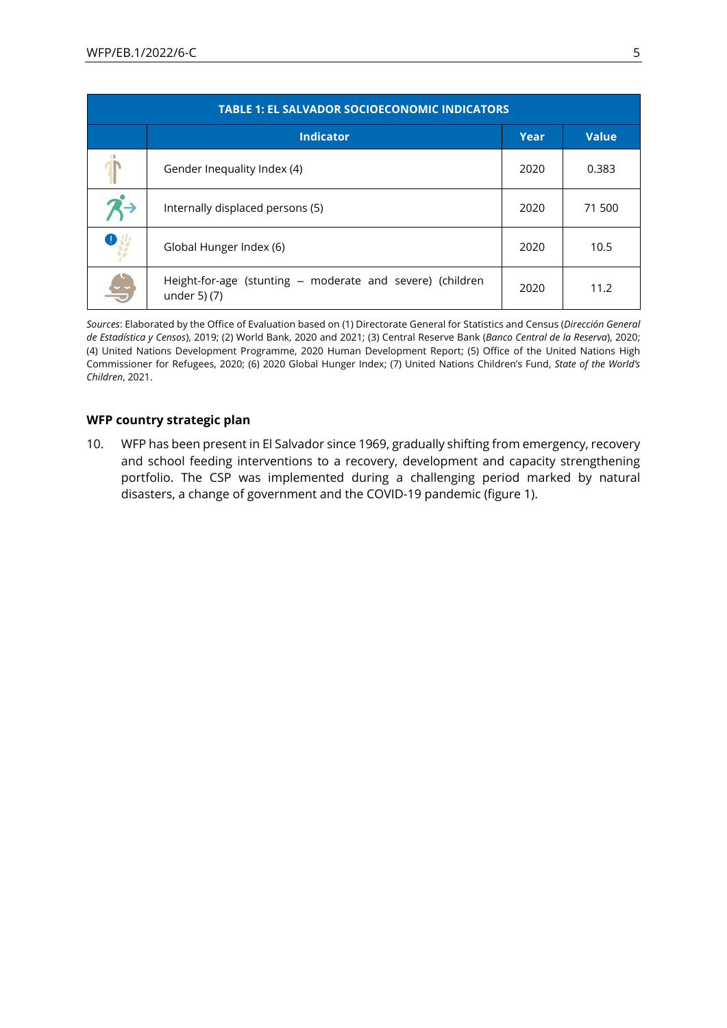| <b>TABLE 1: EL SALVADOR SOCIOECONOMIC INDICATORS</b> |                                                                           |      |              |  |  |
|------------------------------------------------------|---------------------------------------------------------------------------|------|--------------|--|--|
|                                                      | <b>Indicator</b>                                                          | Year | <b>Value</b> |  |  |
|                                                      | Gender Inequality Index (4)                                               | 2020 | 0.383        |  |  |
|                                                      | Internally displaced persons (5)                                          | 2020 | 71 500       |  |  |
|                                                      | Global Hunger Index (6)                                                   | 2020 | 10.5         |  |  |
| $\frac{1}{2}$                                        | Height-for-age (stunting - moderate and severe) (children<br>under 5) (7) | 2020 | 11.2         |  |  |

*Sources*: Elaborated by the Office of Evaluation based on (1) Directorate General for Statistics and Census (*Dirección General de Estadística y Censos*), 2019; (2) World Bank, 2020 and 2021; (3) Central Reserve Bank (*Banco Central de la Reserva*), 2020; (4) United Nations Development Programme, 2020 Human Development Report; (5) Office of the United Nations High Commissioner for Refugees, 2020; (6) 2020 Global Hunger Index; (7) United Nations Children's Fund, *State of the World's Children*, 2021.

#### **WFP country strategic plan**

10. WFP has been present in El Salvador since 1969, gradually shifting from emergency, recovery and school feeding interventions to a recovery, development and capacity strengthening portfolio. The CSP was implemented during a challenging period marked by natural disasters, a change of government and the COVID-19 pandemic (figure 1).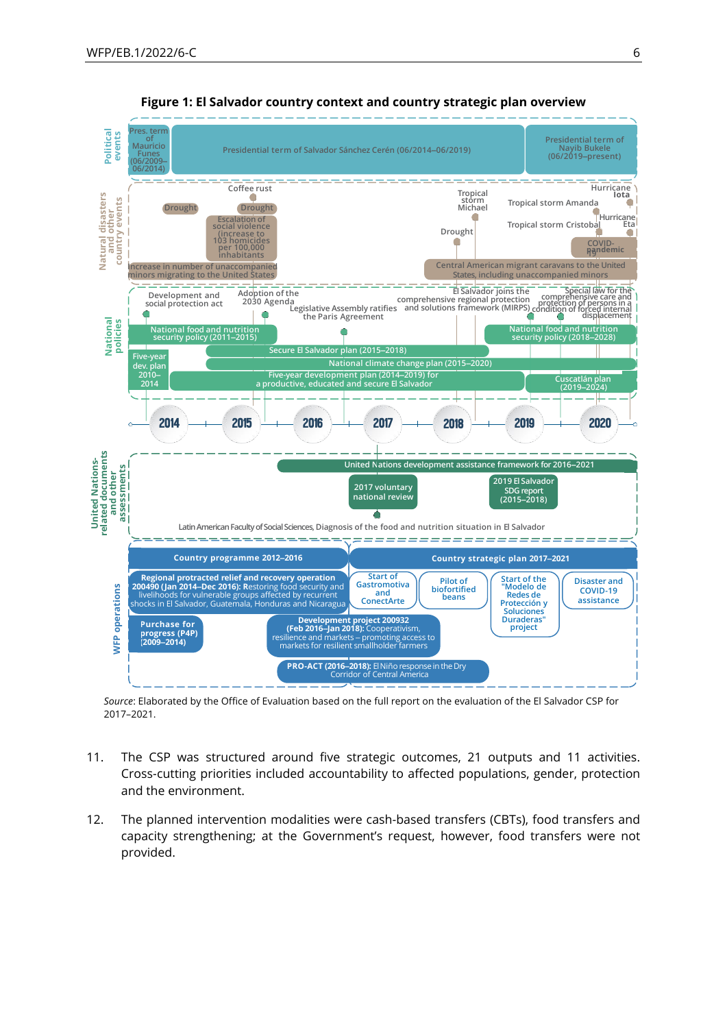

**Figure 1: El Salvador country context and country strategic plan overview**

*Source*: Elaborated by the Office of Evaluation based on the full report on the evaluation of the El Salvador CSP for 2017–2021.

- 11. The CSP was structured around five strategic outcomes, 21 outputs and 11 activities. Cross-cutting priorities included accountability to affected populations, gender, protection and the environment.
- 12. The planned intervention modalities were cash-based transfers (CBTs), food transfers and capacity strengthening; at the Government's request, however, food transfers were not provided.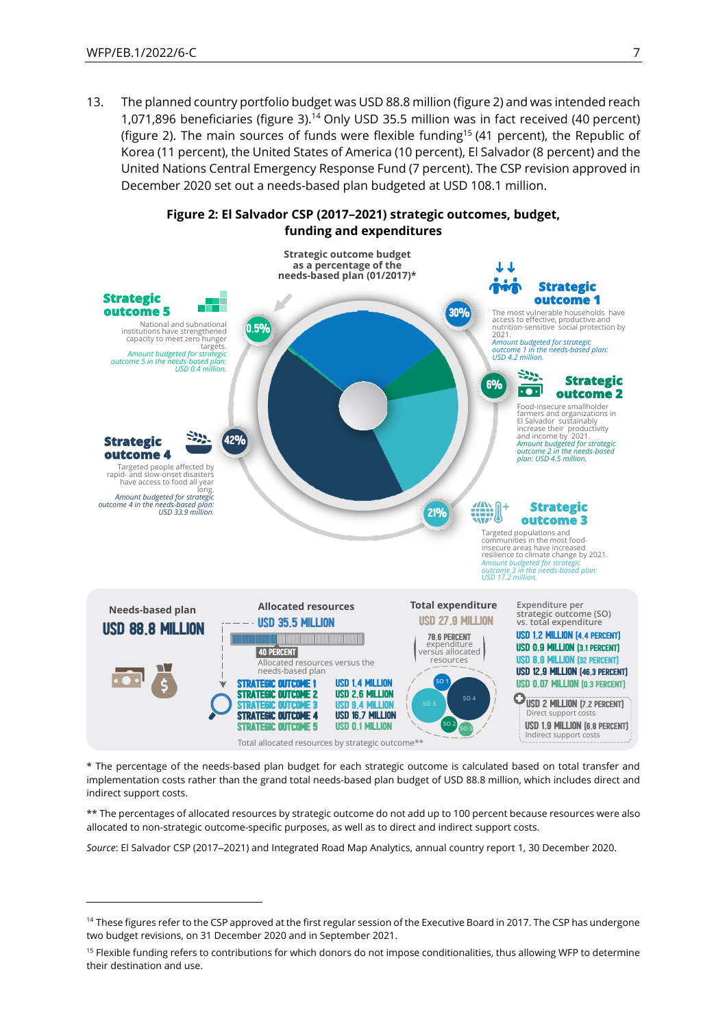13. The planned country portfolio budget was USD 88.8 million (figure 2) and was intended reach 1,071,896 beneficiaries (figure 3).<sup>14</sup> Only USD 35.5 million was in fact received (40 percent) (figure 2). The main sources of funds were flexible funding<sup>15</sup> (41 percent), the Republic of Korea (11 percent), the United States of America (10 percent), El Salvador (8 percent) and the United Nations Central Emergency Response Fund (7 percent). The CSP revision approved in December 2020 set out a needs-based plan budgeted at USD 108.1 million.



\* The percentage of the needs-based plan budget for each strategic outcome is calculated based on total transfer and implementation costs rather than the grand total needs-based plan budget of USD 88.8 million, which includes direct and

indirect support costs. \*\* The percentages of allocated resources by strategic outcome do not add up to 100 percent because resources were also

allocated to non-strategic outcome-specific purposes, as well as to direct and indirect support costs.

*Source*: El Salvador CSP (2017‒2021) and Integrated Road Map Analytics, annual country report 1, 30 December 2020.

<sup>&</sup>lt;sup>14</sup> These figures refer to the CSP approved at the first regular session of the Executive Board in 2017. The CSP has undergone two budget revisions, on 31 December 2020 and in September 2021.

<sup>&</sup>lt;sup>15</sup> Flexible funding refers to contributions for which donors do not impose conditionalities, thus allowing WFP to determine their destination and use.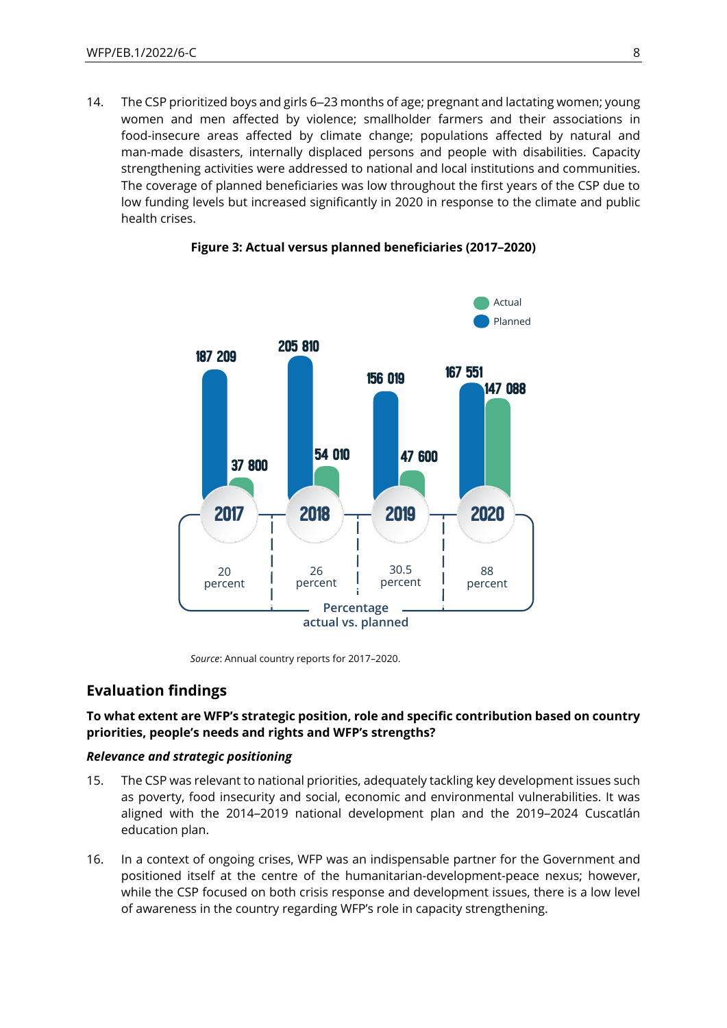14. The CSP prioritized boys and girls 6–23 months of age; pregnant and lactating women; young women and men affected by violence; smallholder farmers and their associations in food-insecure areas affected by climate change; populations affected by natural and man-made disasters, internally displaced persons and people with disabilities. Capacity strengthening activities were addressed to national and local institutions and communities. The coverage of planned beneficiaries was low throughout the first years of the CSP due to low funding levels but increased significantly in 2020 in response to the climate and public health crises.



**Figure 3: Actual versus planned beneficiaries (2017‒2020)** 

*Source*: Annual country reports for 2017–2020.

# **Evaluation findings**

#### **To what extent are WFP's strategic position, role and specific contribution based on country priorities, people's needs and rights and WFP's strengths?**

#### *Relevance and strategic positioning*

- 15. The CSP was relevant to national priorities, adequately tackling key development issues such as poverty, food insecurity and social, economic and environmental vulnerabilities. It was aligned with the 2014–2019 national development plan and the 2019–2024 Cuscatlán education plan.
- 16. In a context of ongoing crises, WFP was an indispensable partner for the Government and positioned itself at the centre of the humanitarian-development-peace nexus; however, while the CSP focused on both crisis response and development issues, there is a low level of awareness in the country regarding WFP's role in capacity strengthening.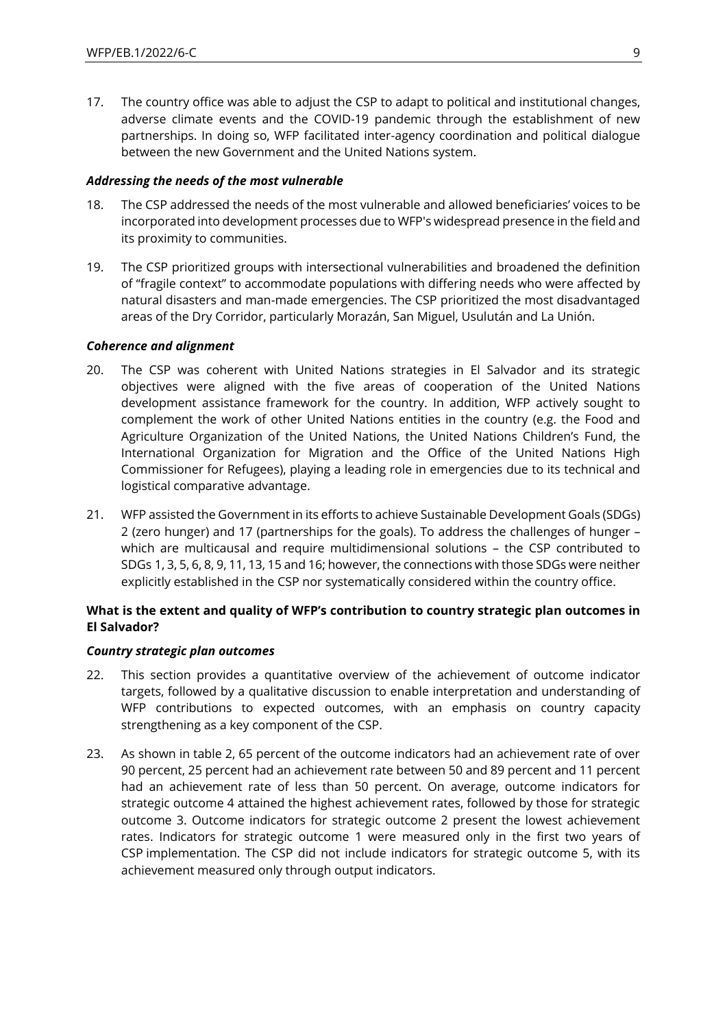17. The country office was able to adjust the CSP to adapt to political and institutional changes, adverse climate events and the COVID-19 pandemic through the establishment of new partnerships. In doing so, WFP facilitated inter-agency coordination and political dialogue between the new Government and the United Nations system.

#### *Addressing the needs of the most vulnerable*

- 18. The CSP addressed the needs of the most vulnerable and allowed beneficiaries' voices to be incorporated into development processes due to WFP's widespread presence in the field and its proximity to communities.
- 19. The CSP prioritized groups with intersectional vulnerabilities and broadened the definition of "fragile context" to accommodate populations with differing needs who were affected by natural disasters and man-made emergencies. The CSP prioritized the most disadvantaged areas of the Dry Corridor, particularly Morazán, San Miguel, Usulután and La Unión.

#### *Coherence and alignment*

- 20. The CSP was coherent with United Nations strategies in El Salvador and its strategic objectives were aligned with the five areas of cooperation of the United Nations development assistance framework for the country. In addition, WFP actively sought to complement the work of other United Nations entities in the country (e.g. the Food and Agriculture Organization of the United Nations, the United Nations Children's Fund, the International Organization for Migration and the Office of the United Nations High Commissioner for Refugees), playing a leading role in emergencies due to its technical and logistical comparative advantage.
- 21. WFP assisted the Government in its efforts to achieve Sustainable Development Goals (SDGs) 2 (zero hunger) and 17 (partnerships for the goals). To address the challenges of hunger – which are multicausal and require multidimensional solutions – the CSP contributed to SDGs 1, 3, 5, 6, 8, 9, 11, 13, 15 and 16; however, the connections with those SDGs were neither explicitly established in the CSP nor systematically considered within the country office.

### **What is the extent and quality of WFP's contribution to country strategic plan outcomes in El Salvador?**

#### *Country strategic plan outcomes*

- 22. This section provides a quantitative overview of the achievement of outcome indicator targets, followed by a qualitative discussion to enable interpretation and understanding of WFP contributions to expected outcomes, with an emphasis on country capacity strengthening as a key component of the CSP.
- 23. As shown in table 2, 65 percent of the outcome indicators had an achievement rate of over 90 percent, 25 percent had an achievement rate between 50 and 89 percent and 11 percent had an achievement rate of less than 50 percent. On average, outcome indicators for strategic outcome 4 attained the highest achievement rates, followed by those for strategic outcome 3. Outcome indicators for strategic outcome 2 present the lowest achievement rates. Indicators for strategic outcome 1 were measured only in the first two years of CSP implementation. The CSP did not include indicators for strategic outcome 5, with its achievement measured only through output indicators.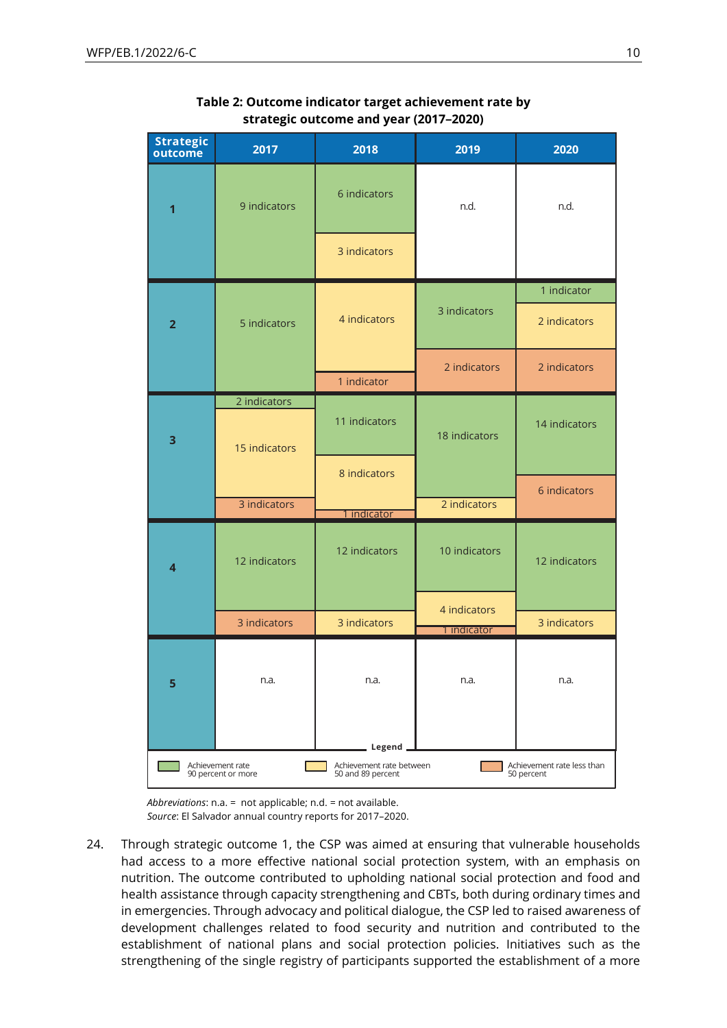| Strategic<br>outcome                                                                                                                | 2017          | 2018          | 2019          | 2020                |  |
|-------------------------------------------------------------------------------------------------------------------------------------|---------------|---------------|---------------|---------------------|--|
| 1                                                                                                                                   | 9 indicators  | 6 indicators  | n.d.          | n.d.                |  |
|                                                                                                                                     |               | 3 indicators  |               |                     |  |
|                                                                                                                                     |               |               |               | 1 indicator         |  |
| $\overline{2}$                                                                                                                      | 5 indicators  | 4 indicators  | 3 indicators  | 2 indicators        |  |
|                                                                                                                                     |               | 1 indicator   | 2 indicators  | 2 indicators        |  |
|                                                                                                                                     | 2 indicators  |               |               |                     |  |
| 3                                                                                                                                   | 15 indicators | 11 indicators | 18 indicators | 14 indicators       |  |
|                                                                                                                                     |               | 8 indicators  |               | <b>6 indicators</b> |  |
|                                                                                                                                     | 3 indicators  | 1 indicator   | 2 indicators  |                     |  |
| 4                                                                                                                                   | 12 indicators | 12 indicators | 10 indicators | 12 indicators       |  |
|                                                                                                                                     |               |               | 4 indicators  |                     |  |
|                                                                                                                                     | 3 indicators  | 3 indicators  | 1 indicator   | 3 indicators        |  |
| ָכ                                                                                                                                  | n.a.          | n.a.          | n.a.          | n.a.                |  |
| Legend                                                                                                                              |               |               |               |                     |  |
| Achievement rate between<br>50 and 89 percent<br>Achievement rate less than<br>Achievement rate<br>50 percent<br>90 percent or more |               |               |               |                     |  |

#### **Table 2: Outcome indicator target achievement rate by strategic outcome and year (2017‒2020)**

*Abbreviations*: n.a. = not applicable; n.d. = not available. *Source*: El Salvador annual country reports for 2017–2020.

24. Through strategic outcome 1, the CSP was aimed at ensuring that vulnerable households had access to a more effective national social protection system, with an emphasis on nutrition. The outcome contributed to upholding national social protection and food and health assistance through capacity strengthening and CBTs, both during ordinary times and in emergencies. Through advocacy and political dialogue, the CSP led to raised awareness of development challenges related to food security and nutrition and contributed to the establishment of national plans and social protection policies. Initiatives such as the strengthening of the single registry of participants supported the establishment of a more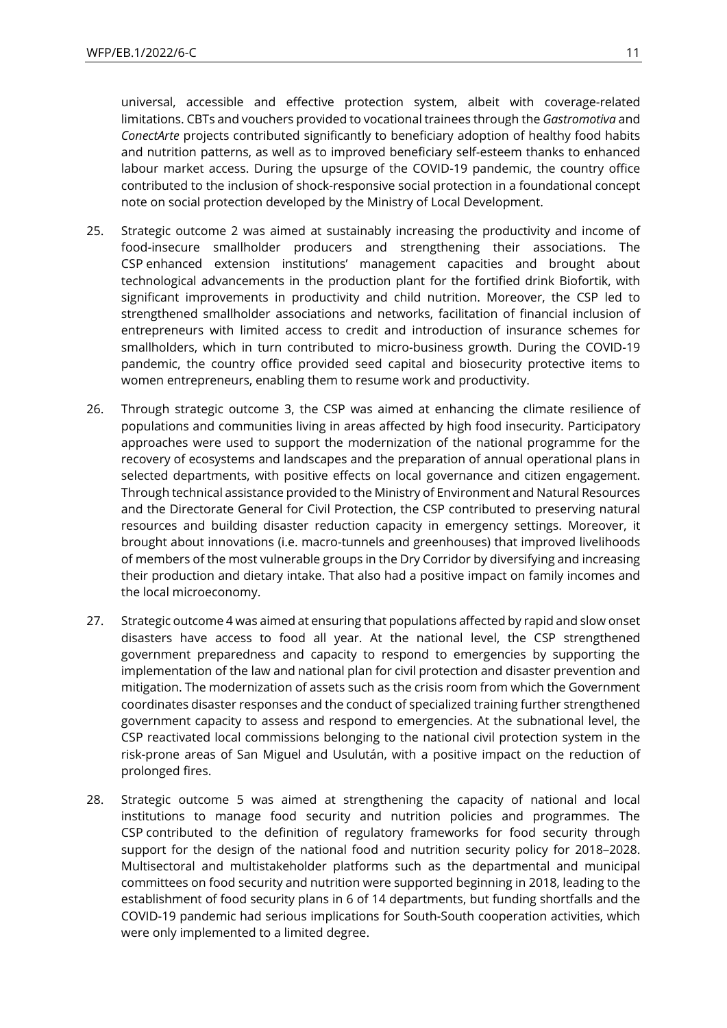universal, accessible and effective protection system, albeit with coverage-related limitations. CBTs and vouchers provided to vocational trainees through the *Gastromotiva* and *ConectArte* projects contributed significantly to beneficiary adoption of healthy food habits and nutrition patterns, as well as to improved beneficiary self-esteem thanks to enhanced labour market access. During the upsurge of the COVID-19 pandemic, the country office contributed to the inclusion of shock-responsive social protection in a foundational concept note on social protection developed by the Ministry of Local Development.

- 25. Strategic outcome 2 was aimed at sustainably increasing the productivity and income of food-insecure smallholder producers and strengthening their associations. The CSP enhanced extension institutions' management capacities and brought about technological advancements in the production plant for the fortified drink Biofortik, with significant improvements in productivity and child nutrition. Moreover, the CSP led to strengthened smallholder associations and networks, facilitation of financial inclusion of entrepreneurs with limited access to credit and introduction of insurance schemes for smallholders, which in turn contributed to micro-business growth. During the COVID-19 pandemic, the country office provided seed capital and biosecurity protective items to women entrepreneurs, enabling them to resume work and productivity.
- 26. Through strategic outcome 3, the CSP was aimed at enhancing the climate resilience of populations and communities living in areas affected by high food insecurity. Participatory approaches were used to support the modernization of the national programme for the recovery of ecosystems and landscapes and the preparation of annual operational plans in selected departments, with positive effects on local governance and citizen engagement. Through technical assistance provided to the Ministry of Environment and Natural Resources and the Directorate General for Civil Protection, the CSP contributed to preserving natural resources and building disaster reduction capacity in emergency settings. Moreover, it brought about innovations (i.e. macro-tunnels and greenhouses) that improved livelihoods of members of the most vulnerable groups in the Dry Corridor by diversifying and increasing their production and dietary intake. That also had a positive impact on family incomes and the local microeconomy.
- 27. Strategic outcome 4 was aimed at ensuring that populations affected by rapid and slow onset disasters have access to food all year. At the national level, the CSP strengthened government preparedness and capacity to respond to emergencies by supporting the implementation of the law and national plan for civil protection and disaster prevention and mitigation. The modernization of assets such as the crisis room from which the Government coordinates disaster responses and the conduct of specialized training further strengthened government capacity to assess and respond to emergencies. At the subnational level, the CSP reactivated local commissions belonging to the national civil protection system in the risk-prone areas of San Miguel and Usulután, with a positive impact on the reduction of prolonged fires.
- 28. Strategic outcome 5 was aimed at strengthening the capacity of national and local institutions to manage food security and nutrition policies and programmes. The CSP contributed to the definition of regulatory frameworks for food security through support for the design of the national food and nutrition security policy for 2018–2028. Multisectoral and multistakeholder platforms such as the departmental and municipal committees on food security and nutrition were supported beginning in 2018, leading to the establishment of food security plans in 6 of 14 departments, but funding shortfalls and the COVID-19 pandemic had serious implications for South-South cooperation activities, which were only implemented to a limited degree.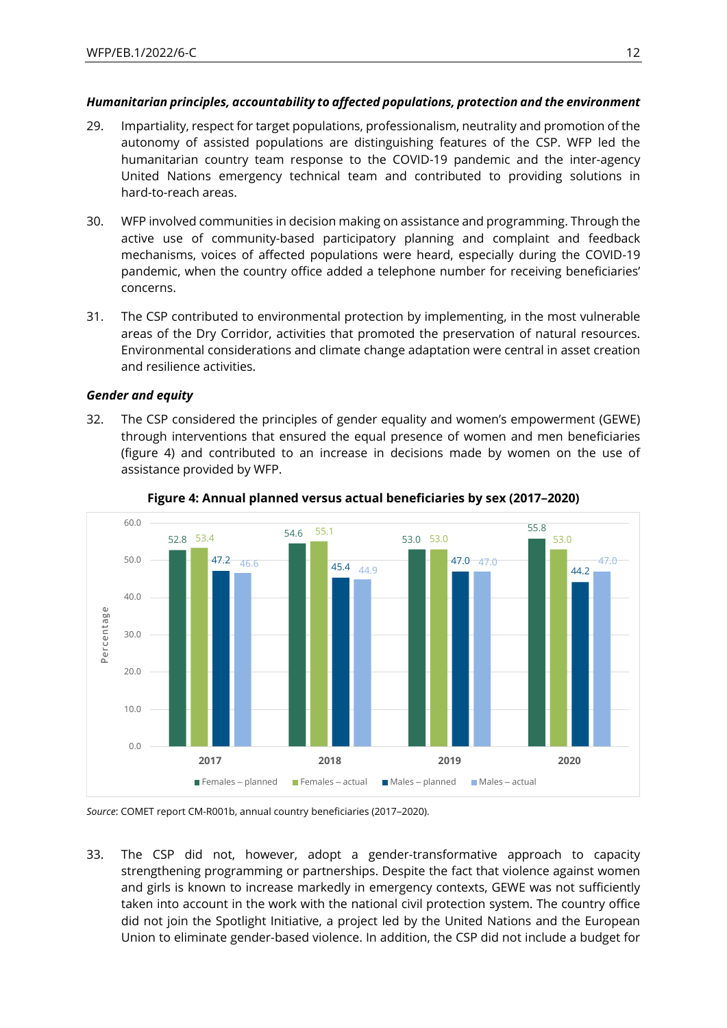#### *Humanitarian principles, accountability to affected populations, protection and the environment*

- 29. Impartiality, respect for target populations, professionalism, neutrality and promotion of the autonomy of assisted populations are distinguishing features of the CSP. WFP led the humanitarian country team response to the COVID-19 pandemic and the inter-agency United Nations emergency technical team and contributed to providing solutions in hard-to-reach areas.
- 30. WFP involved communities in decision making on assistance and programming. Through the active use of community-based participatory planning and complaint and feedback mechanisms, voices of affected populations were heard, especially during the COVID-19 pandemic, when the country office added a telephone number for receiving beneficiaries' concerns.
- 31. The CSP contributed to environmental protection by implementing, in the most vulnerable areas of the Dry Corridor, activities that promoted the preservation of natural resources. Environmental considerations and climate change adaptation were central in asset creation and resilience activities.

#### *Gender and equity*

32. The CSP considered the principles of gender equality and women's empowerment (GEWE) through interventions that ensured the equal presence of women and men beneficiaries (figure 4) and contributed to an increase in decisions made by women on the use of assistance provided by WFP.



#### **Figure 4: Annual planned versus actual beneficiaries by sex (2017‒2020)**

Source: COMET report CM-R001b, annual country beneficiaries (2017-2020).

33. The CSP did not, however, adopt a gender-transformative approach to capacity strengthening programming or partnerships. Despite the fact that violence against women and girls is known to increase markedly in emergency contexts, GEWE was not sufficiently taken into account in the work with the national civil protection system. The country office did not join the Spotlight Initiative, a project led by the United Nations and the European Union to eliminate gender-based violence. In addition, the CSP did not include a budget for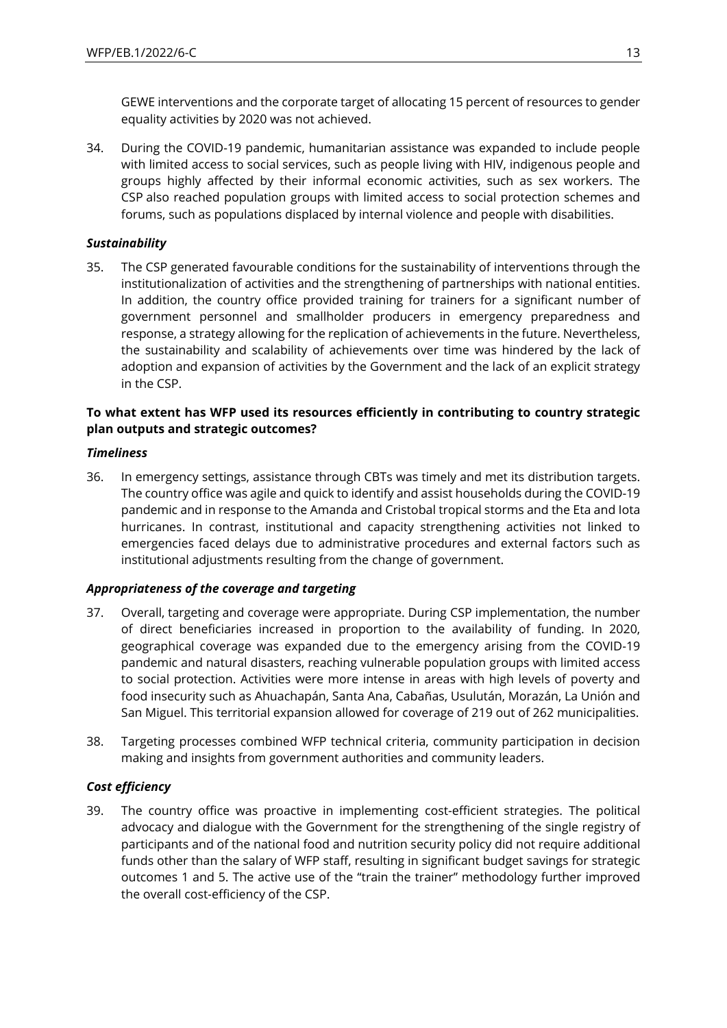GEWE interventions and the corporate target of allocating 15 percent of resources to gender equality activities by 2020 was not achieved.

34. During the COVID-19 pandemic, humanitarian assistance was expanded to include people with limited access to social services, such as people living with HIV, indigenous people and groups highly affected by their informal economic activities, such as sex workers. The CSP also reached population groups with limited access to social protection schemes and forums, such as populations displaced by internal violence and people with disabilities.

### *Sustainability*

35. The CSP generated favourable conditions for the sustainability of interventions through the institutionalization of activities and the strengthening of partnerships with national entities. In addition, the country office provided training for trainers for a significant number of government personnel and smallholder producers in emergency preparedness and response, a strategy allowing for the replication of achievements in the future. Nevertheless, the sustainability and scalability of achievements over time was hindered by the lack of adoption and expansion of activities by the Government and the lack of an explicit strategy in the CSP.

### **To what extent has WFP used its resources efficiently in contributing to country strategic plan outputs and strategic outcomes?**

#### *Timeliness*

36. In emergency settings, assistance through CBTs was timely and met its distribution targets. The country office was agile and quick to identify and assist households during the COVID-19 pandemic and in response to the Amanda and Cristobal tropical storms and the Eta and Iota hurricanes. In contrast, institutional and capacity strengthening activities not linked to emergencies faced delays due to administrative procedures and external factors such as institutional adjustments resulting from the change of government.

#### *Appropriateness of the coverage and targeting*

- 37. Overall, targeting and coverage were appropriate. During CSP implementation, the number of direct beneficiaries increased in proportion to the availability of funding. In 2020, geographical coverage was expanded due to the emergency arising from the COVID-19 pandemic and natural disasters, reaching vulnerable population groups with limited access to social protection. Activities were more intense in areas with high levels of poverty and food insecurity such as Ahuachapán, Santa Ana, Cabañas, Usulután, Morazán, La Unión and San Miguel. This territorial expansion allowed for coverage of 219 out of 262 municipalities.
- 38. Targeting processes combined WFP technical criteria, community participation in decision making and insights from government authorities and community leaders.

#### *Cost efficiency*

39. The country office was proactive in implementing cost-efficient strategies. The political advocacy and dialogue with the Government for the strengthening of the single registry of participants and of the national food and nutrition security policy did not require additional funds other than the salary of WFP staff, resulting in significant budget savings for strategic outcomes 1 and 5. The active use of the "train the trainer" methodology further improved the overall cost-efficiency of the CSP.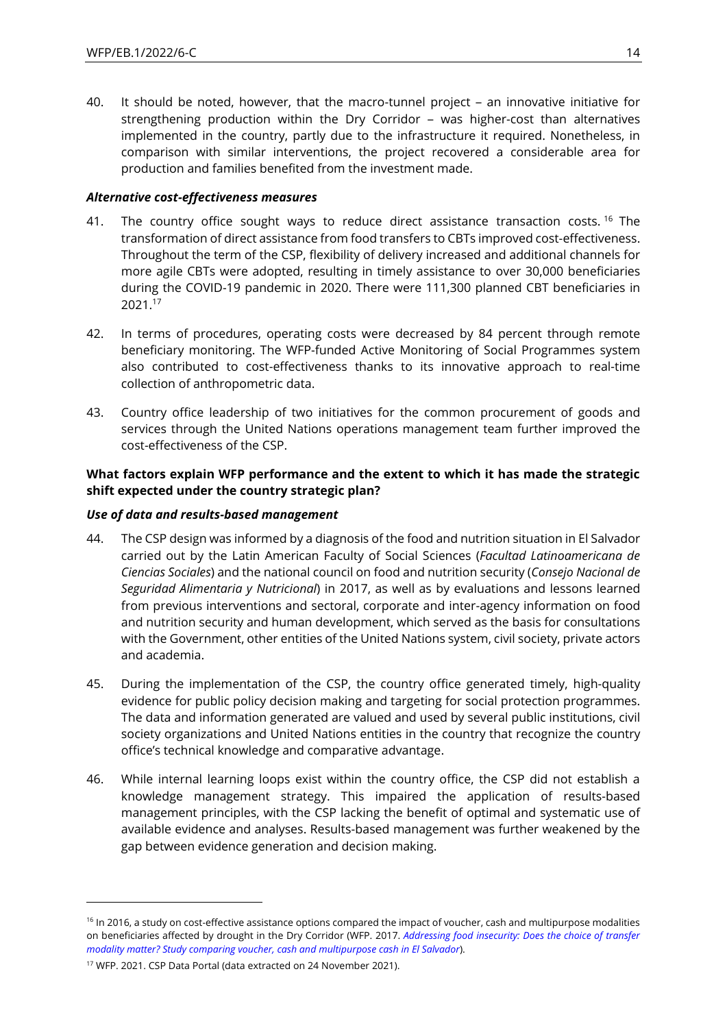40. It should be noted, however, that the macro-tunnel project – an innovative initiative for strengthening production within the Dry Corridor – was higher-cost than alternatives implemented in the country, partly due to the infrastructure it required. Nonetheless, in comparison with similar interventions, the project recovered a considerable area for production and families benefited from the investment made.

#### *Alternative cost-effectiveness measures*

- 41. The country office sought ways to reduce direct assistance transaction costs.<sup>16</sup> The transformation of direct assistance from food transfers to CBTs improved cost-effectiveness. Throughout the term of the CSP, flexibility of delivery increased and additional channels for more agile CBTs were adopted, resulting in timely assistance to over 30,000 beneficiaries during the COVID-19 pandemic in 2020. There were 111,300 planned CBT beneficiaries in 2021.<sup>17</sup>
- 42. In terms of procedures, operating costs were decreased by 84 percent through remote beneficiary monitoring. The WFP-funded Active Monitoring of Social Programmes system also contributed to cost-effectiveness thanks to its innovative approach to real-time collection of anthropometric data.
- 43. Country office leadership of two initiatives for the common procurement of goods and services through the United Nations operations management team further improved the cost-effectiveness of the CSP.

### **What factors explain WFP performance and the extent to which it has made the strategic shift expected under the country strategic plan?**

#### *Use of data and results-based management*

- 44. The CSP design was informed by a diagnosis of the food and nutrition situation in El Salvador carried out by the Latin American Faculty of Social Sciences (*Facultad Latinoamericana de Ciencias Sociales*) and the national council on food and nutrition security (*Consejo Nacional de Seguridad Alimentaria y Nutricional*) in 2017, as well as by evaluations and lessons learned from previous interventions and sectoral, corporate and inter-agency information on food and nutrition security and human development, which served as the basis for consultations with the Government, other entities of the United Nations system, civil society, private actors and academia.
- 45. During the implementation of the CSP, the country office generated timely, high-quality evidence for public policy decision making and targeting for social protection programmes. The data and information generated are valued and used by several public institutions, civil society organizations and United Nations entities in the country that recognize the country office's technical knowledge and comparative advantage.
- 46. While internal learning loops exist within the country office, the CSP did not establish a knowledge management strategy. This impaired the application of results-based management principles, with the CSP lacking the benefit of optimal and systematic use of available evidence and analyses. Results-based management was further weakened by the gap between evidence generation and decision making.

<sup>&</sup>lt;sup>16</sup> In 2016, a study on cost-effective assistance options compared the impact of voucher, cash and multipurpose modalities on beneficiaries affected by drought in the Dry Corridor (WFP. 2017. *[Addressing food insecurity: Does the choice of transfer](https://www.calpnetwork.org/wp-content/uploads/2020/03/1544714317.Multi-Purpose-Cash-Study_El-Salvador-1.pdf)  [modality matter? Study comparing voucher, cash and multipurpose cash in El Salvador](https://www.calpnetwork.org/wp-content/uploads/2020/03/1544714317.Multi-Purpose-Cash-Study_El-Salvador-1.pdf)*).

<sup>17</sup> WFP. 2021. CSP Data Portal (data extracted on 24 November 2021).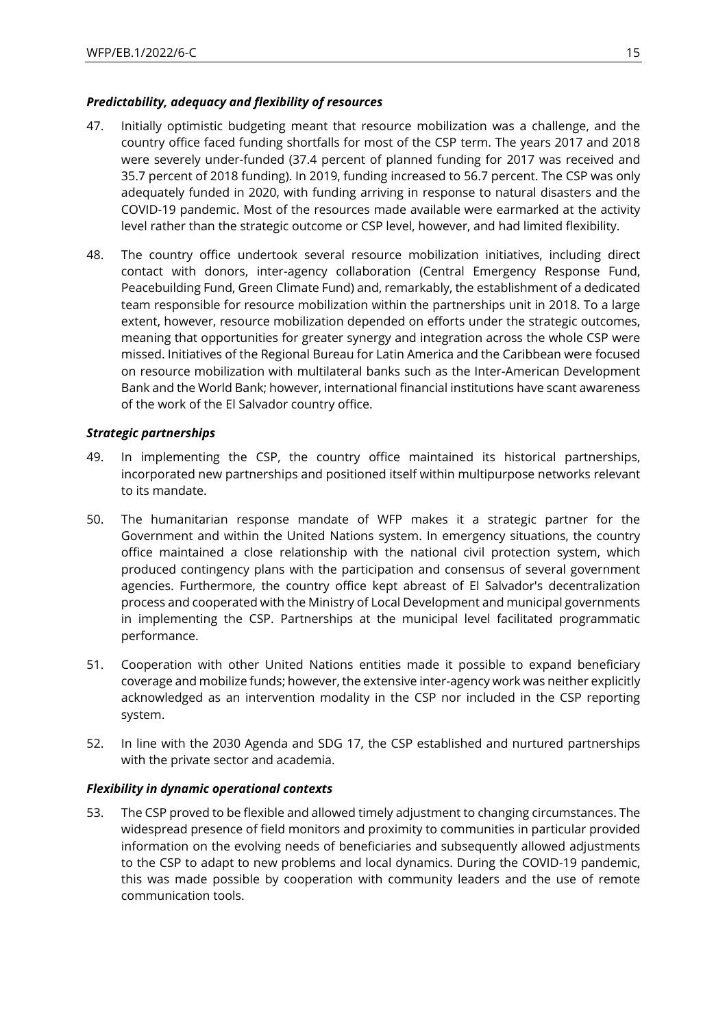### *Predictability, adequacy and flexibility of resources*

- 47. Initially optimistic budgeting meant that resource mobilization was a challenge, and the country office faced funding shortfalls for most of the CSP term. The years 2017 and 2018 were severely under-funded (37.4 percent of planned funding for 2017 was received and 35.7 percent of 2018 funding). In 2019, funding increased to 56.7 percent. The CSP was only adequately funded in 2020, with funding arriving in response to natural disasters and the COVID-19 pandemic. Most of the resources made available were earmarked at the activity level rather than the strategic outcome or CSP level, however, and had limited flexibility.
- 48. The country office undertook several resource mobilization initiatives, including direct contact with donors, inter-agency collaboration (Central Emergency Response Fund, Peacebuilding Fund, Green Climate Fund) and, remarkably, the establishment of a dedicated team responsible for resource mobilization within the partnerships unit in 2018. To a large extent, however, resource mobilization depended on efforts under the strategic outcomes, meaning that opportunities for greater synergy and integration across the whole CSP were missed. Initiatives of the Regional Bureau for Latin America and the Caribbean were focused on resource mobilization with multilateral banks such as the Inter-American Development Bank and the World Bank; however, international financial institutions have scant awareness of the work of the El Salvador country office.

#### *Strategic partnerships*

- 49. In implementing the CSP, the country office maintained its historical partnerships, incorporated new partnerships and positioned itself within multipurpose networks relevant to its mandate.
- 50. The humanitarian response mandate of WFP makes it a strategic partner for the Government and within the United Nations system. In emergency situations, the country office maintained a close relationship with the national civil protection system, which produced contingency plans with the participation and consensus of several government agencies. Furthermore, the country office kept abreast of El Salvador's decentralization process and cooperated with the Ministry of Local Development and municipal governments in implementing the CSP. Partnerships at the municipal level facilitated programmatic performance.
- 51. Cooperation with other United Nations entities made it possible to expand beneficiary coverage and mobilize funds; however, the extensive inter-agency work was neither explicitly acknowledged as an intervention modality in the CSP nor included in the CSP reporting system.
- 52. In line with the 2030 Agenda and SDG 17, the CSP established and nurtured partnerships with the private sector and academia.

#### *Flexibility in dynamic operational contexts*

53. The CSP proved to be flexible and allowed timely adjustment to changing circumstances. The widespread presence of field monitors and proximity to communities in particular provided information on the evolving needs of beneficiaries and subsequently allowed adjustments to the CSP to adapt to new problems and local dynamics. During the COVID-19 pandemic, this was made possible by cooperation with community leaders and the use of remote communication tools.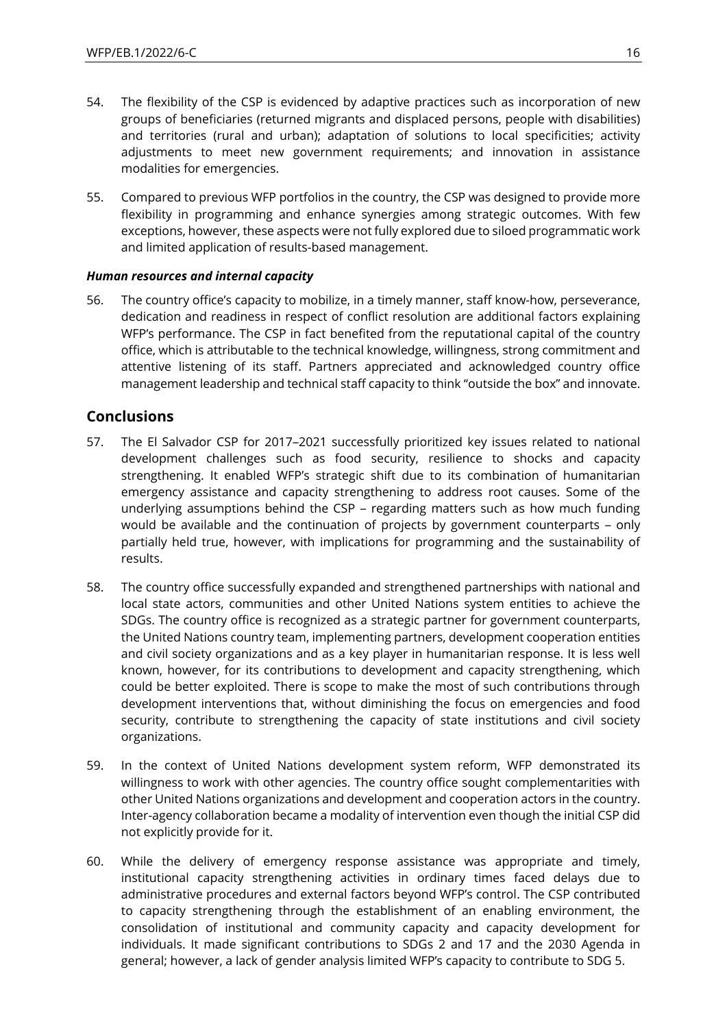- 54. The flexibility of the CSP is evidenced by adaptive practices such as incorporation of new groups of beneficiaries (returned migrants and displaced persons, people with disabilities) and territories (rural and urban); adaptation of solutions to local specificities; activity adjustments to meet new government requirements; and innovation in assistance modalities for emergencies.
- 55. Compared to previous WFP portfolios in the country, the CSP was designed to provide more flexibility in programming and enhance synergies among strategic outcomes. With few exceptions, however, these aspects were not fully explored due to siloed programmatic work and limited application of results-based management.

#### *Human resources and internal capacity*

56. The country office's capacity to mobilize, in a timely manner, staff know-how, perseverance, dedication and readiness in respect of conflict resolution are additional factors explaining WFP's performance. The CSP in fact benefited from the reputational capital of the country office, which is attributable to the technical knowledge, willingness, strong commitment and attentive listening of its staff. Partners appreciated and acknowledged country office management leadership and technical staff capacity to think "outside the box" and innovate.

# **Conclusions**

- 57. The El Salvador CSP for 2017–2021 successfully prioritized key issues related to national development challenges such as food security, resilience to shocks and capacity strengthening. It enabled WFP's strategic shift due to its combination of humanitarian emergency assistance and capacity strengthening to address root causes. Some of the underlying assumptions behind the CSP – regarding matters such as how much funding would be available and the continuation of projects by government counterparts – only partially held true, however, with implications for programming and the sustainability of results.
- 58. The country office successfully expanded and strengthened partnerships with national and local state actors, communities and other United Nations system entities to achieve the SDGs. The country office is recognized as a strategic partner for government counterparts, the United Nations country team, implementing partners, development cooperation entities and civil society organizations and as a key player in humanitarian response. It is less well known, however, for its contributions to development and capacity strengthening, which could be better exploited. There is scope to make the most of such contributions through development interventions that, without diminishing the focus on emergencies and food security, contribute to strengthening the capacity of state institutions and civil society organizations.
- 59. In the context of United Nations development system reform, WFP demonstrated its willingness to work with other agencies. The country office sought complementarities with other United Nations organizations and development and cooperation actors in the country. Inter-agency collaboration became a modality of intervention even though the initial CSP did not explicitly provide for it.
- 60. While the delivery of emergency response assistance was appropriate and timely, institutional capacity strengthening activities in ordinary times faced delays due to administrative procedures and external factors beyond WFP's control. The CSP contributed to capacity strengthening through the establishment of an enabling environment, the consolidation of institutional and community capacity and capacity development for individuals. It made significant contributions to SDGs 2 and 17 and the 2030 Agenda in general; however, a lack of gender analysis limited WFP's capacity to contribute to SDG 5.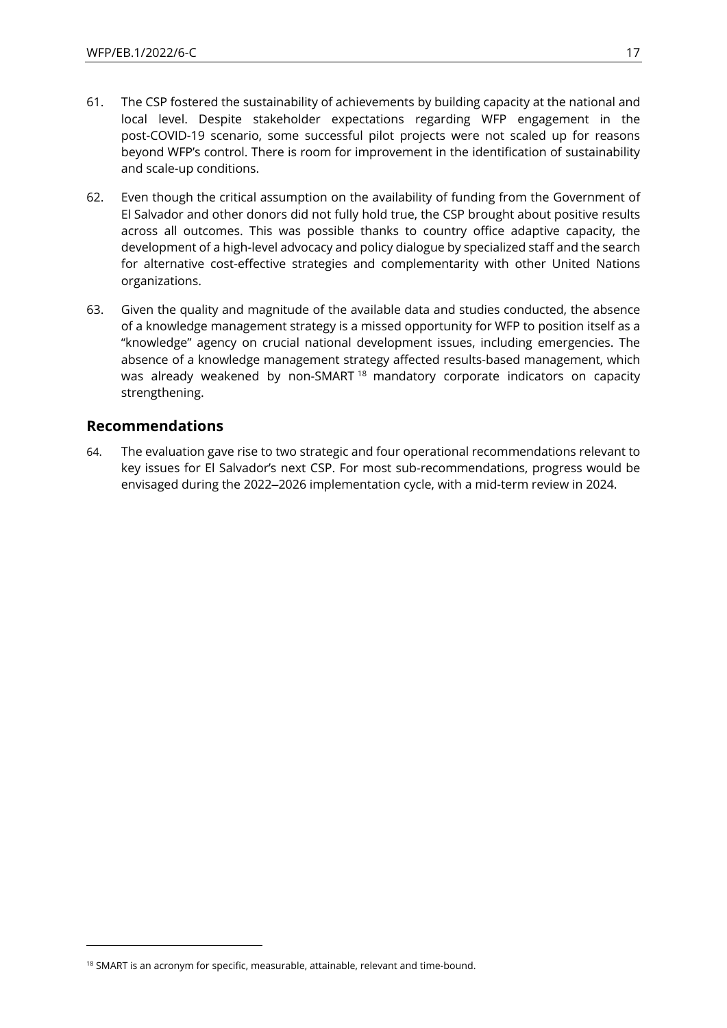- 61. The CSP fostered the sustainability of achievements by building capacity at the national and local level. Despite stakeholder expectations regarding WFP engagement in the post-COVID-19 scenario, some successful pilot projects were not scaled up for reasons beyond WFP's control. There is room for improvement in the identification of sustainability and scale-up conditions.
- 62. Even though the critical assumption on the availability of funding from the Government of El Salvador and other donors did not fully hold true, the CSP brought about positive results across all outcomes. This was possible thanks to country office adaptive capacity, the development of a high-level advocacy and policy dialogue by specialized staff and the search for alternative cost-effective strategies and complementarity with other United Nations organizations.
- 63. Given the quality and magnitude of the available data and studies conducted, the absence of a knowledge management strategy is a missed opportunity for WFP to position itself as a "knowledge" agency on crucial national development issues, including emergencies. The absence of a knowledge management strategy affected results-based management, which was already weakened by non-SMART<sup>18</sup> mandatory corporate indicators on capacity strengthening.

### **Recommendations**

64. The evaluation gave rise to two strategic and four operational recommendations relevant to key issues for El Salvador's next CSP. For most sub-recommendations, progress would be envisaged during the 2022–2026 implementation cycle, with a mid-term review in 2024.

<sup>&</sup>lt;sup>18</sup> SMART is an acronym for specific, measurable, attainable, relevant and time-bound.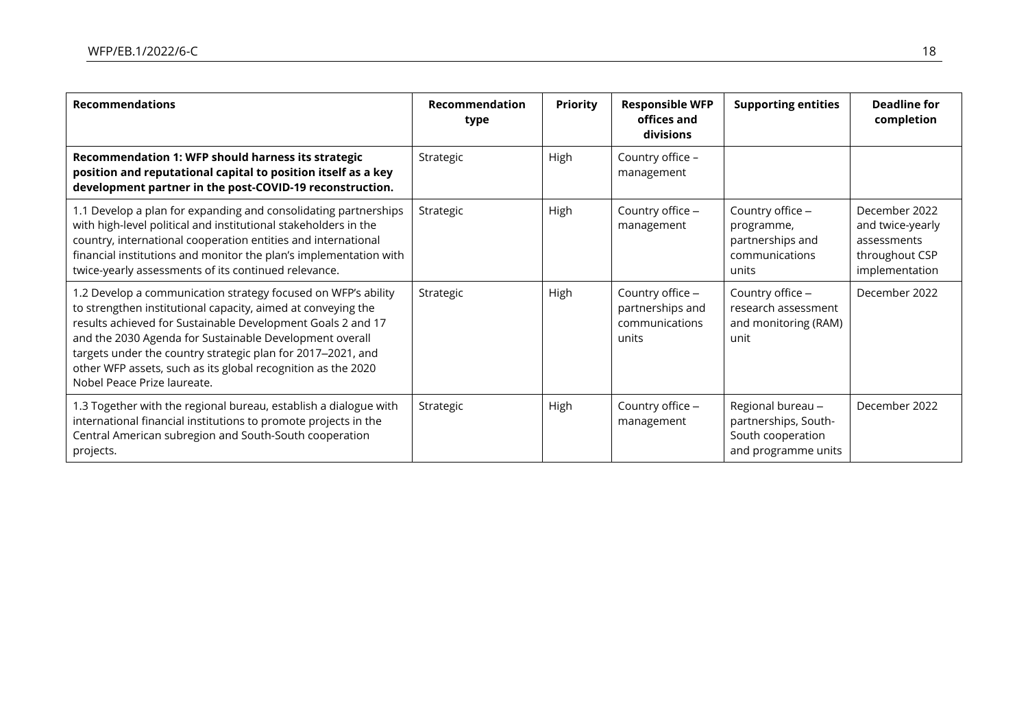| <b>Recommendations</b>                                                                                                                                                                                                                                                                                                                                                                                                | <b>Recommendation</b><br>type | <b>Priority</b> | <b>Responsible WFP</b><br>offices and<br>divisions              | <b>Supporting entities</b>                                                            | <b>Deadline for</b><br>completion                                                    |
|-----------------------------------------------------------------------------------------------------------------------------------------------------------------------------------------------------------------------------------------------------------------------------------------------------------------------------------------------------------------------------------------------------------------------|-------------------------------|-----------------|-----------------------------------------------------------------|---------------------------------------------------------------------------------------|--------------------------------------------------------------------------------------|
| Recommendation 1: WFP should harness its strategic<br>position and reputational capital to position itself as a key<br>development partner in the post-COVID-19 reconstruction.                                                                                                                                                                                                                                       | Strategic                     | High            | Country office -<br>management                                  |                                                                                       |                                                                                      |
| 1.1 Develop a plan for expanding and consolidating partnerships<br>with high-level political and institutional stakeholders in the<br>country, international cooperation entities and international<br>financial institutions and monitor the plan's implementation with<br>twice-yearly assessments of its continued relevance.                                                                                      | Strategic                     | High            | Country office -<br>management                                  | Country office -<br>programme,<br>partnerships and<br>communications<br>units         | December 2022<br>and twice-yearly<br>assessments<br>throughout CSP<br>implementation |
| 1.2 Develop a communication strategy focused on WFP's ability<br>to strengthen institutional capacity, aimed at conveying the<br>results achieved for Sustainable Development Goals 2 and 17<br>and the 2030 Agenda for Sustainable Development overall<br>targets under the country strategic plan for 2017-2021, and<br>other WFP assets, such as its global recognition as the 2020<br>Nobel Peace Prize laureate. | Strategic                     | High            | Country office -<br>partnerships and<br>communications<br>units | Country office -<br>research assessment<br>and monitoring (RAM)<br>unit               | December 2022                                                                        |
| 1.3 Together with the regional bureau, establish a dialogue with<br>international financial institutions to promote projects in the<br>Central American subregion and South-South cooperation<br>projects.                                                                                                                                                                                                            | Strategic                     | High            | Country office -<br>management                                  | Regional bureau -<br>partnerships, South-<br>South cooperation<br>and programme units | December 2022                                                                        |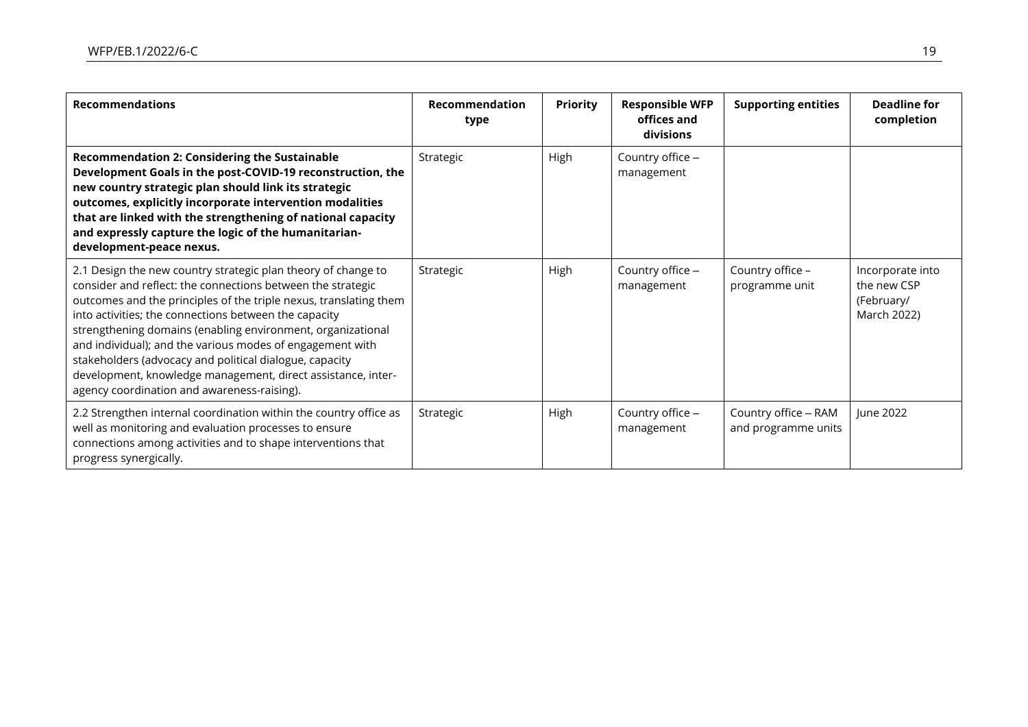| <b>Recommendations</b>                                                                                                                                                                                                                                                                                                                                                                                                                                                                                                                                           | Recommendation<br>type | <b>Priority</b> | <b>Responsible WFP</b><br>offices and<br>divisions | <b>Supporting entities</b>                  | <b>Deadline for</b><br>completion                            |
|------------------------------------------------------------------------------------------------------------------------------------------------------------------------------------------------------------------------------------------------------------------------------------------------------------------------------------------------------------------------------------------------------------------------------------------------------------------------------------------------------------------------------------------------------------------|------------------------|-----------------|----------------------------------------------------|---------------------------------------------|--------------------------------------------------------------|
| <b>Recommendation 2: Considering the Sustainable</b><br>Development Goals in the post-COVID-19 reconstruction, the<br>new country strategic plan should link its strategic<br>outcomes, explicitly incorporate intervention modalities<br>that are linked with the strengthening of national capacity<br>and expressly capture the logic of the humanitarian-<br>development-peace nexus.                                                                                                                                                                        | Strategic              | High            | Country office -<br>management                     |                                             |                                                              |
| 2.1 Design the new country strategic plan theory of change to<br>consider and reflect: the connections between the strategic<br>outcomes and the principles of the triple nexus, translating them<br>into activities; the connections between the capacity<br>strengthening domains (enabling environment, organizational<br>and individual); and the various modes of engagement with<br>stakeholders (advocacy and political dialogue, capacity<br>development, knowledge management, direct assistance, inter-<br>agency coordination and awareness-raising). | Strategic              | High            | Country office -<br>management                     | Country office -<br>programme unit          | Incorporate into<br>the new CSP<br>(February/<br>March 2022) |
| 2.2 Strengthen internal coordination within the country office as<br>well as monitoring and evaluation processes to ensure<br>connections among activities and to shape interventions that<br>progress synergically.                                                                                                                                                                                                                                                                                                                                             | Strategic              | High            | Country office -<br>management                     | Country office - RAM<br>and programme units | June 2022                                                    |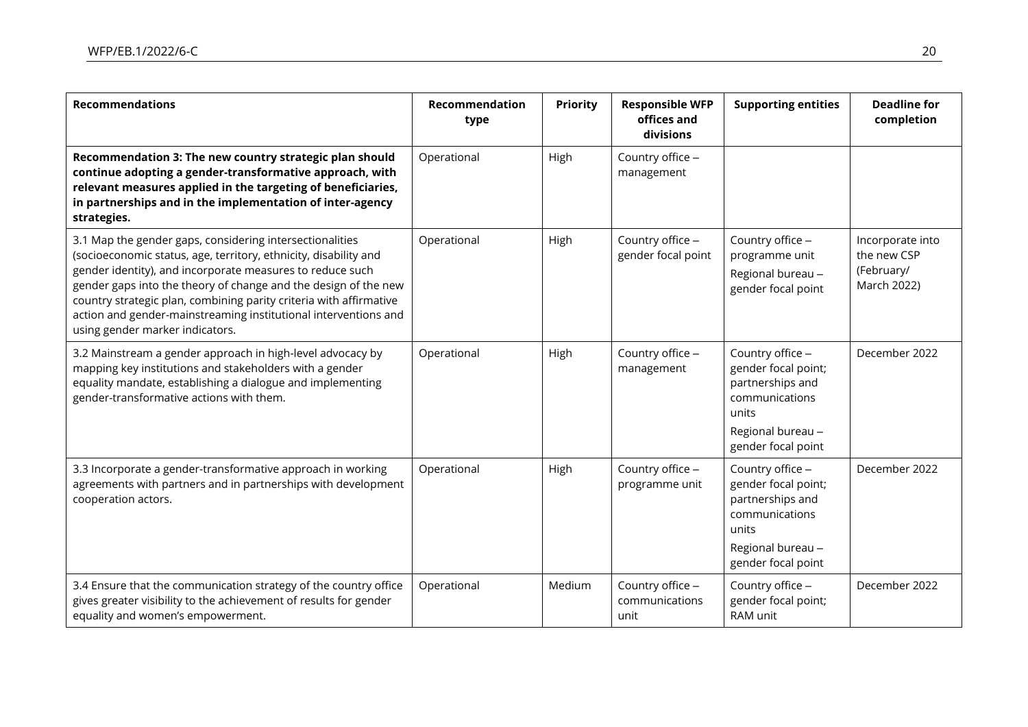| <b>Recommendations</b>                                                                                                                                                                                                                                                                                                                                                                                                                   | <b>Recommendation</b><br>type | <b>Priority</b> | <b>Responsible WFP</b><br>offices and<br>divisions | <b>Supporting entities</b>                                                                                                        | <b>Deadline for</b><br>completion                            |
|------------------------------------------------------------------------------------------------------------------------------------------------------------------------------------------------------------------------------------------------------------------------------------------------------------------------------------------------------------------------------------------------------------------------------------------|-------------------------------|-----------------|----------------------------------------------------|-----------------------------------------------------------------------------------------------------------------------------------|--------------------------------------------------------------|
| Recommendation 3: The new country strategic plan should<br>continue adopting a gender-transformative approach, with<br>relevant measures applied in the targeting of beneficiaries,<br>in partnerships and in the implementation of inter-agency<br>strategies.                                                                                                                                                                          | Operational                   | High            | Country office -<br>management                     |                                                                                                                                   |                                                              |
| 3.1 Map the gender gaps, considering intersectionalities<br>(socioeconomic status, age, territory, ethnicity, disability and<br>gender identity), and incorporate measures to reduce such<br>gender gaps into the theory of change and the design of the new<br>country strategic plan, combining parity criteria with affirmative<br>action and gender-mainstreaming institutional interventions and<br>using gender marker indicators. | Operational                   | High            | Country office -<br>gender focal point             | Country office -<br>programme unit<br>Regional bureau -<br>gender focal point                                                     | Incorporate into<br>the new CSP<br>(February/<br>March 2022) |
| 3.2 Mainstream a gender approach in high-level advocacy by<br>mapping key institutions and stakeholders with a gender<br>equality mandate, establishing a dialogue and implementing<br>gender-transformative actions with them.                                                                                                                                                                                                          | Operational                   | High            | Country office -<br>management                     | Country office -<br>gender focal point;<br>partnerships and<br>communications<br>units<br>Regional bureau -<br>gender focal point | December 2022                                                |
| 3.3 Incorporate a gender-transformative approach in working<br>agreements with partners and in partnerships with development<br>cooperation actors.                                                                                                                                                                                                                                                                                      | Operational                   | High            | Country office -<br>programme unit                 | Country office -<br>gender focal point;<br>partnerships and<br>communications<br>units<br>Regional bureau -<br>gender focal point | December 2022                                                |
| 3.4 Ensure that the communication strategy of the country office<br>gives greater visibility to the achievement of results for gender<br>equality and women's empowerment.                                                                                                                                                                                                                                                               | Operational                   | Medium          | Country office -<br>communications<br>unit         | Country office -<br>gender focal point;<br>RAM unit                                                                               | December 2022                                                |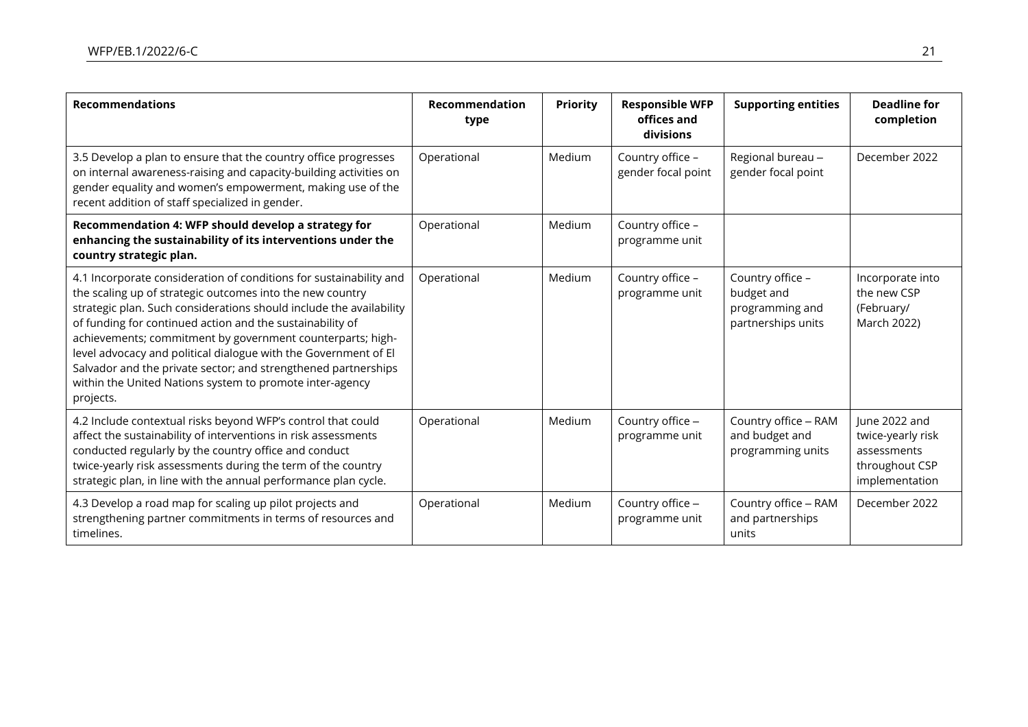| <b>Recommendations</b>                                                                                                                                                                                                                                                                                                                                                                                                                                                                                                                          | Recommendation<br>type | <b>Priority</b> | <b>Responsible WFP</b><br>offices and<br>divisions | <b>Supporting entities</b>                                              | <b>Deadline for</b><br>completion                                                     |
|-------------------------------------------------------------------------------------------------------------------------------------------------------------------------------------------------------------------------------------------------------------------------------------------------------------------------------------------------------------------------------------------------------------------------------------------------------------------------------------------------------------------------------------------------|------------------------|-----------------|----------------------------------------------------|-------------------------------------------------------------------------|---------------------------------------------------------------------------------------|
| 3.5 Develop a plan to ensure that the country office progresses<br>on internal awareness-raising and capacity-building activities on<br>gender equality and women's empowerment, making use of the<br>recent addition of staff specialized in gender.                                                                                                                                                                                                                                                                                           | Operational            | Medium          | Country office -<br>gender focal point             | Regional bureau -<br>gender focal point                                 | December 2022                                                                         |
| Recommendation 4: WFP should develop a strategy for<br>enhancing the sustainability of its interventions under the<br>country strategic plan.                                                                                                                                                                                                                                                                                                                                                                                                   | Operational            | Medium          | Country office -<br>programme unit                 |                                                                         |                                                                                       |
| 4.1 Incorporate consideration of conditions for sustainability and<br>the scaling up of strategic outcomes into the new country<br>strategic plan. Such considerations should include the availability<br>of funding for continued action and the sustainability of<br>achievements; commitment by government counterparts; high-<br>level advocacy and political dialogue with the Government of El<br>Salvador and the private sector; and strengthened partnerships<br>within the United Nations system to promote inter-agency<br>projects. | Operational            | Medium          | Country office -<br>programme unit                 | Country office -<br>budget and<br>programming and<br>partnerships units | Incorporate into<br>the new CSP<br>(February/<br>March 2022)                          |
| 4.2 Include contextual risks beyond WFP's control that could<br>affect the sustainability of interventions in risk assessments<br>conducted regularly by the country office and conduct<br>twice-yearly risk assessments during the term of the country<br>strategic plan, in line with the annual performance plan cycle.                                                                                                                                                                                                                      | Operational            | Medium          | Country office -<br>programme unit                 | Country office - RAM<br>and budget and<br>programming units             | June 2022 and<br>twice-yearly risk<br>assessments<br>throughout CSP<br>implementation |
| 4.3 Develop a road map for scaling up pilot projects and<br>strengthening partner commitments in terms of resources and<br>timelines.                                                                                                                                                                                                                                                                                                                                                                                                           | Operational            | Medium          | Country office -<br>programme unit                 | Country office - RAM<br>and partnerships<br>units                       | December 2022                                                                         |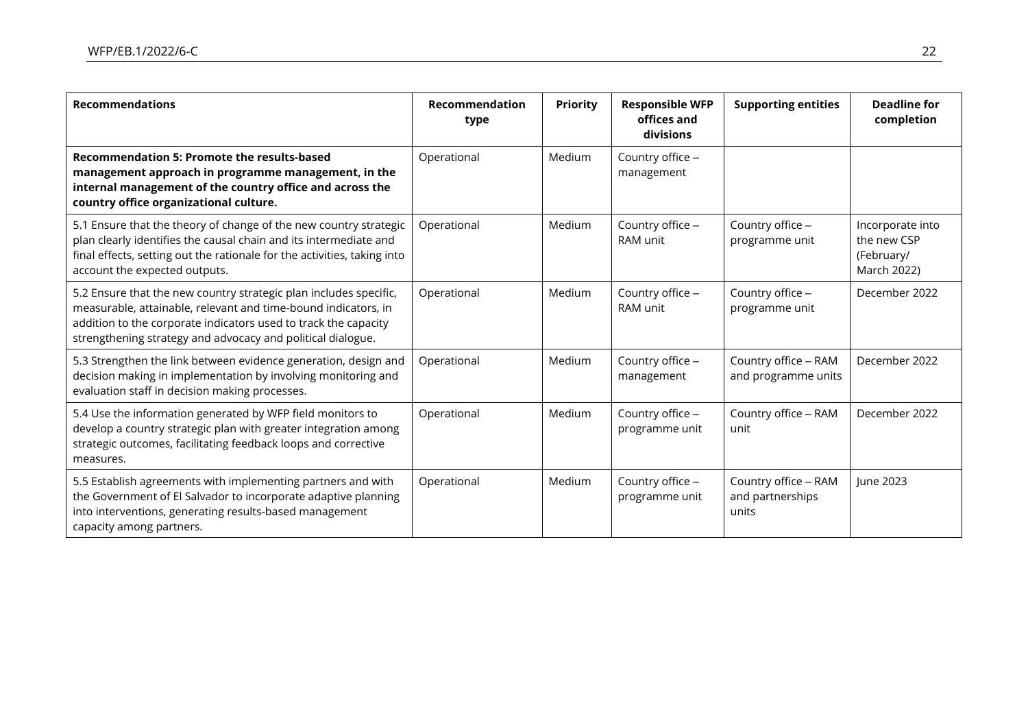| <b>Recommendations</b>                                                                                                                                                                                                                                                | <b>Recommendation</b><br>type | <b>Priority</b> | <b>Responsible WFP</b><br>offices and<br>divisions | <b>Supporting entities</b>                        | <b>Deadline for</b><br>completion                            |
|-----------------------------------------------------------------------------------------------------------------------------------------------------------------------------------------------------------------------------------------------------------------------|-------------------------------|-----------------|----------------------------------------------------|---------------------------------------------------|--------------------------------------------------------------|
| <b>Recommendation 5: Promote the results-based</b><br>management approach in programme management, in the<br>internal management of the country office and across the<br>country office organizational culture.                                                       | Operational                   | Medium          | Country office -<br>management                     |                                                   |                                                              |
| 5.1 Ensure that the theory of change of the new country strategic<br>plan clearly identifies the causal chain and its intermediate and<br>final effects, setting out the rationale for the activities, taking into<br>account the expected outputs.                   | Operational                   | Medium          | Country office -<br>RAM unit                       | Country office -<br>programme unit                | Incorporate into<br>the new CSP<br>(February/<br>March 2022) |
| 5.2 Ensure that the new country strategic plan includes specific,<br>measurable, attainable, relevant and time-bound indicators, in<br>addition to the corporate indicators used to track the capacity<br>strengthening strategy and advocacy and political dialogue. | Operational                   | Medium          | Country office -<br>RAM unit                       | Country office -<br>programme unit                | December 2022                                                |
| 5.3 Strengthen the link between evidence generation, design and<br>decision making in implementation by involving monitoring and<br>evaluation staff in decision making processes.                                                                                    | Operational                   | Medium          | Country office -<br>management                     | Country office - RAM<br>and programme units       | December 2022                                                |
| 5.4 Use the information generated by WFP field monitors to<br>develop a country strategic plan with greater integration among<br>strategic outcomes, facilitating feedback loops and corrective<br>measures.                                                          | Operational                   | Medium          | Country office -<br>programme unit                 | Country office - RAM<br>unit                      | December 2022                                                |
| 5.5 Establish agreements with implementing partners and with<br>the Government of El Salvador to incorporate adaptive planning<br>into interventions, generating results-based management<br>capacity among partners.                                                 | Operational                   | Medium          | Country office -<br>programme unit                 | Country office - RAM<br>and partnerships<br>units | June 2023                                                    |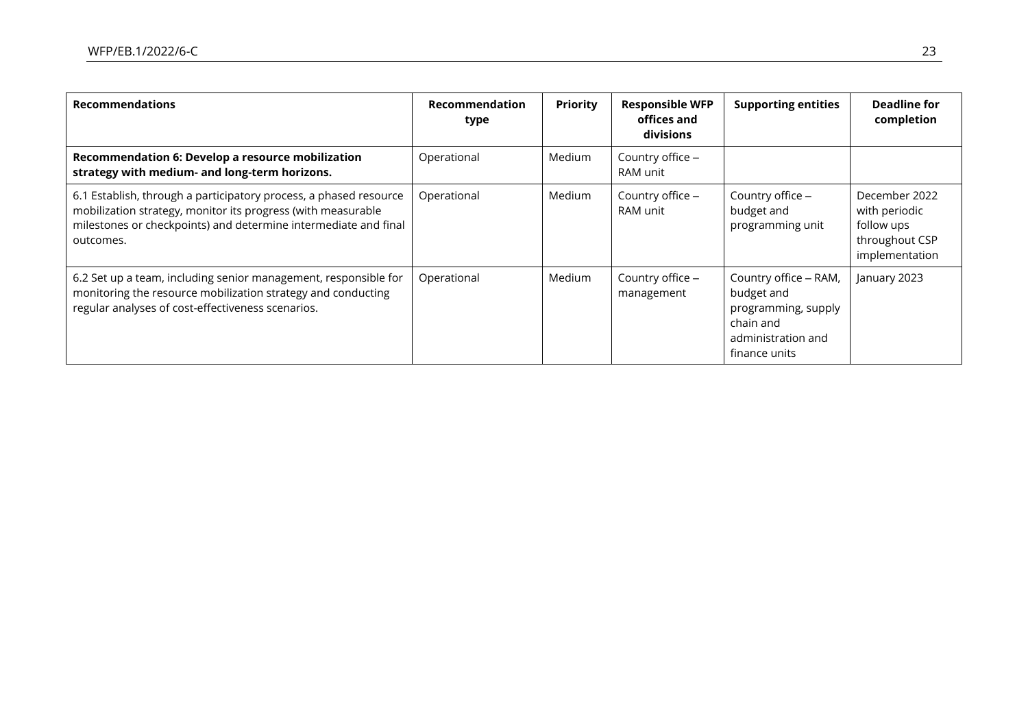| <b>Recommendations</b>                                                                                                                                                                                            | <b>Recommendation</b><br>type | <b>Priority</b> | <b>Responsible WFP</b><br>offices and<br>divisions | <b>Supporting entities</b>                                                                                     | Deadline for<br>completion                                                       |
|-------------------------------------------------------------------------------------------------------------------------------------------------------------------------------------------------------------------|-------------------------------|-----------------|----------------------------------------------------|----------------------------------------------------------------------------------------------------------------|----------------------------------------------------------------------------------|
| Recommendation 6: Develop a resource mobilization<br>strategy with medium- and long-term horizons.                                                                                                                | Operational                   | Medium          | Country office -<br>RAM unit                       |                                                                                                                |                                                                                  |
| 6.1 Establish, through a participatory process, a phased resource<br>mobilization strategy, monitor its progress (with measurable<br>milestones or checkpoints) and determine intermediate and final<br>outcomes. | Operational                   | Medium          | Country office -<br>RAM unit                       | Country office -<br>budget and<br>programming unit                                                             | December 2022<br>with periodic<br>follow ups<br>throughout CSP<br>implementation |
| 6.2 Set up a team, including senior management, responsible for<br>monitoring the resource mobilization strategy and conducting<br>regular analyses of cost-effectiveness scenarios.                              | Operational                   | Medium          | Country office -<br>management                     | Country office - RAM,<br>budget and<br>programming, supply<br>chain and<br>administration and<br>finance units | January 2023                                                                     |